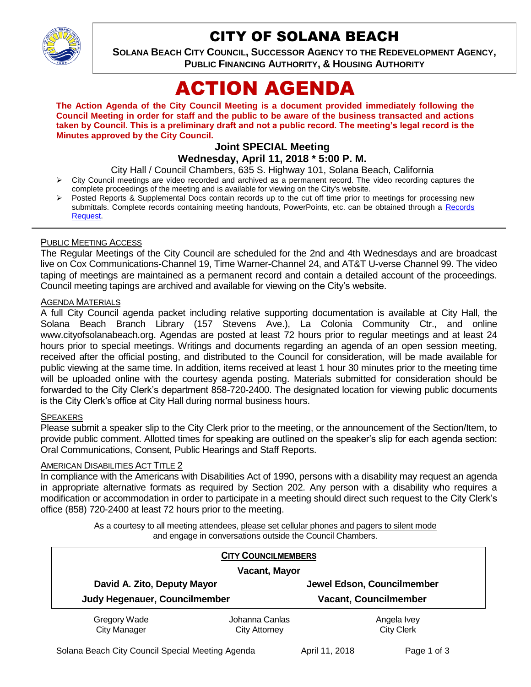

# CITY OF SOLANA BEACH

**SOLANA BEACH CITY COUNCIL, SUCCESSOR AGENCY TO THE REDEVELOPMENT AGENCY, PUBLIC FINANCING AUTHORITY, & HOUSING AUTHORITY** 

# ACTION AGENDA

**The Action Agenda of the City Council Meeting is a document provided immediately following the Council Meeting in order for staff and the public to be aware of the business transacted and actions taken by Council. This is a preliminary draft and not a public record. The meeting's legal record is the Minutes approved by the City Council.**

## **Joint SPECIAL Meeting Wednesday, April 11, 2018 \* 5:00 P. M.**

City Hall / Council Chambers, 635 S. Highway 101, Solana Beach, California

- City Council meetings are video recorded and archived as a permanent record. The video recording captures the complete proceedings of the meeting and is available for viewing on the City's website.
- Posted Reports & Supplemental Docs contain records up to the cut off time prior to meetings for processing new submittals. Complete records containing meeting handouts, PowerPoints, etc. can be obtained through a [Records](http://www.ci.solana-beach.ca.us/index.asp?SEC=F5D45D10-70CE-4291-A27C-7BD633FC6742&Type=B_BASIC)  [Request.](http://www.ci.solana-beach.ca.us/index.asp?SEC=F5D45D10-70CE-4291-A27C-7BD633FC6742&Type=B_BASIC)

#### PUBLIC MEETING ACCESS

The Regular Meetings of the City Council are scheduled for the 2nd and 4th Wednesdays and are broadcast live on Cox Communications-Channel 19, Time Warner-Channel 24, and AT&T U-verse Channel 99. The video taping of meetings are maintained as a permanent record and contain a detailed account of the proceedings. Council meeting tapings are archived and available for viewing on the City's website.

#### AGENDA MATERIALS

A full City Council agenda packet including relative supporting documentation is available at City Hall, the Solana Beach Branch Library (157 Stevens Ave.), La Colonia Community Ctr., and online www.cityofsolanabeach.org. Agendas are posted at least 72 hours prior to regular meetings and at least 24 hours prior to special meetings. Writings and documents regarding an agenda of an open session meeting, received after the official posting, and distributed to the Council for consideration, will be made available for public viewing at the same time. In addition, items received at least 1 hour 30 minutes prior to the meeting time will be uploaded online with the courtesy agenda posting. Materials submitted for consideration should be forwarded to the City Clerk's department 858-720-2400. The designated location for viewing public documents is the City Clerk's office at City Hall during normal business hours.

#### SPEAKERS

Please submit a speaker slip to the City Clerk prior to the meeting, or the announcement of the Section/Item, to provide public comment. Allotted times for speaking are outlined on the speaker's slip for each agenda section: Oral Communications, Consent, Public Hearings and Staff Reports.

#### AMERICAN DISABILITIES ACT TITLE 2

In compliance with the Americans with Disabilities Act of 1990, persons with a disability may request an agenda in appropriate alternative formats as required by Section 202. Any person with a disability who requires a modification or accommodation in order to participate in a meeting should direct such request to the City Clerk's office (858) 720-2400 at least 72 hours prior to the meeting.

> As a courtesy to all meeting attendees, please set cellular phones and pagers to silent mode and engage in conversations outside the Council Chambers.

|                                                              | <b>CITY COUNCILMEMBERS</b> |                              |  |
|--------------------------------------------------------------|----------------------------|------------------------------|--|
| <b>Vacant, Mayor</b>                                         |                            |                              |  |
| David A. Zito, Deputy Mayor<br>Judy Hegenauer, Councilmember |                            | Jewel Edson, Councilmember   |  |
|                                                              |                            | <b>Vacant, Councilmember</b> |  |
| <b>Gregory Wade</b>                                          | Johanna Canlas             | Angela Ivey                  |  |
| <b>City Manager</b>                                          | <b>City Attorney</b>       | <b>City Clerk</b>            |  |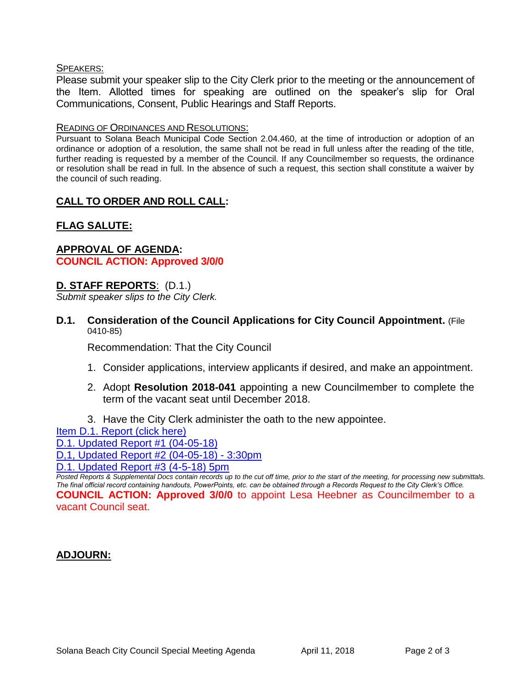#### SPEAKERS:

Please submit your speaker slip to the City Clerk prior to the meeting or the announcement of the Item. Allotted times for speaking are outlined on the speaker's slip for Oral Communications, Consent, Public Hearings and Staff Reports.

#### READING OF ORDINANCES AND RESOLUTIONS:

Pursuant to Solana Beach Municipal Code Section 2.04.460, at the time of introduction or adoption of an ordinance or adoption of a resolution, the same shall not be read in full unless after the reading of the title, further reading is requested by a member of the Council. If any Councilmember so requests, the ordinance or resolution shall be read in full. In the absence of such a request, this section shall constitute a waiver by the council of such reading.

#### **CALL TO ORDER AND ROLL CALL:**

# **FLAG SALUTE:**

#### **APPROVAL OF AGENDA: COUNCIL ACTION: Approved 3/0/0**

#### **D. STAFF REPORTS**: (D.1.)

*Submit speaker slips to the City Clerk.*

**D.1. Consideration of the Council Applications for City Council Appointment.** (File 0410-85)

Recommendation: That the City Council

- 1. Consider applications, interview applicants if desired, and make an appointment.
- 2. Adopt **Resolution 2018-041** appointing a new Councilmember to complete the term of the vacant seat until December 2018.
- 3. Have the City Clerk administer the oath to the new appointee.

[Item D.1. Report \(click here\)](https://solanabeach.govoffice3.com/vertical/Sites/%7B840804C2-F869-4904-9AE3-720581350CE7%7D/uploads/Item_D.1._Report_(click_here)_-04-11-18.PDF)

[D.1. Updated Report #1 \(04-05-18\)](https://solanabeach.govoffice3.com/vertical/Sites/%7B840804C2-F869-4904-9AE3-720581350CE7%7D/uploads/D.1._Updated_Report_1_-_04-05-18.pdf)

[D,1, Updated Report #2 \(04-05-18\) -](https://solanabeach.govoffice3.com/vertical/Sites/%7B840804C2-F869-4904-9AE3-720581350CE7%7D/uploads/D.1._Updated_Report_2_-_04-05-18.pdf) 3:30pm

[D.1. Updated Report #3 \(4-5-18\) 5pm](https://solanabeach.govoffice3.com/vertical/Sites/%7B840804C2-F869-4904-9AE3-720581350CE7%7D/uploads/D.1._Update_Report_3.pdf)

*Posted Reports & Supplemental Docs contain records up to the cut off time, prior to the start of the meeting, for processing new submittals. The final official record containing handouts, PowerPoints, etc. can be obtained through a Records Request to the City Clerk's Office.* **COUNCIL ACTION: Approved 3/0/0** to appoint Lesa Heebner as Councilmember to a vacant Council seat.

## **ADJOURN:**